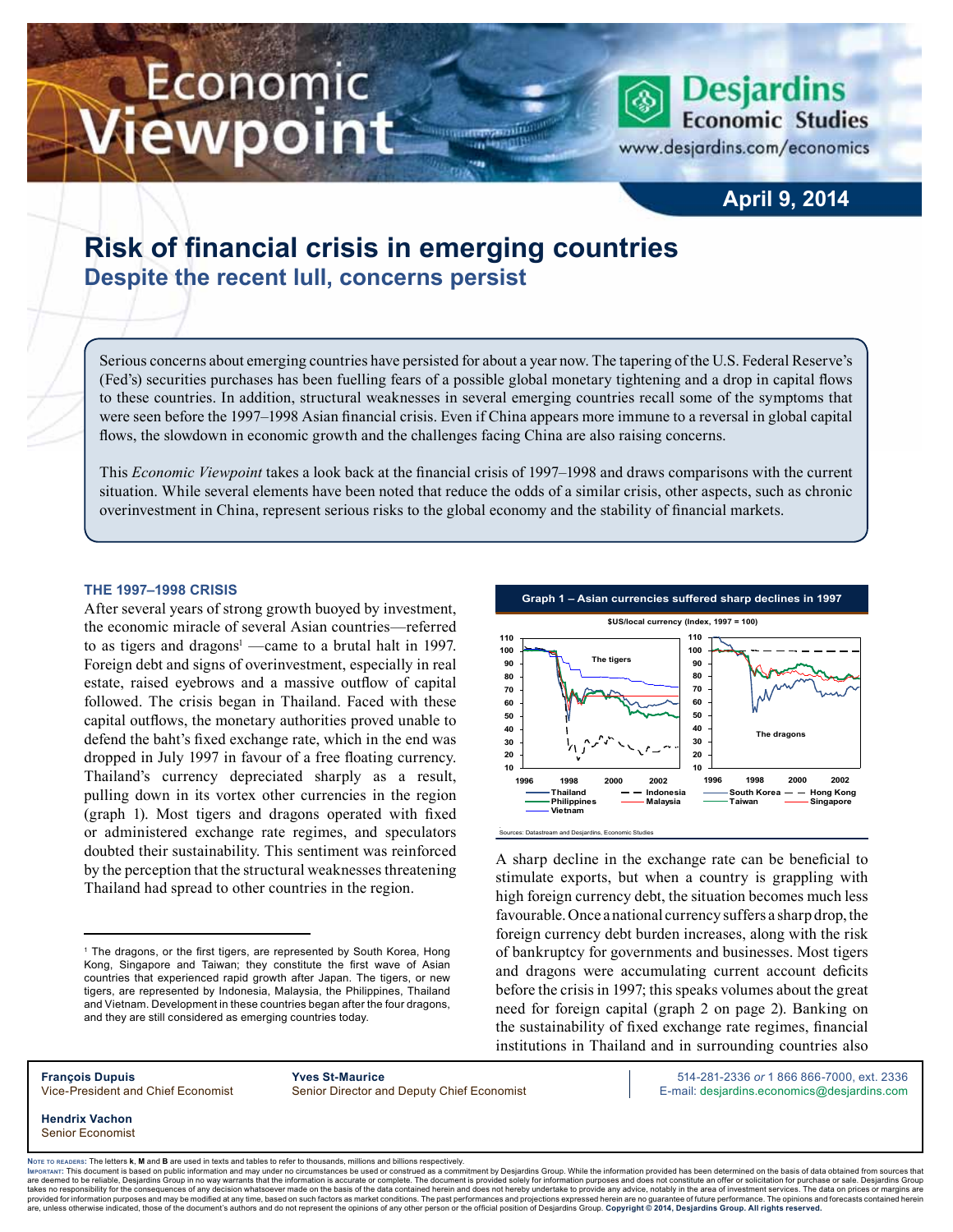# Economic iewpoint

**Desjardins Economic Studies** 

www.desjardins.com/economics

# **April 9, 2014**

# **Risk of financial crisis in emerging countries Despite the recent lull, concerns persist**

Serious concerns about emerging countries have persisted for about a year now. The tapering of the U.S. Federal Reserve's (Fed's) securities purchases has been fuelling fears of a possible global monetary tightening and a drop in capital flows to these countries. In addition, structural weaknesses in several emerging countries recall some of the symptoms that were seen before the 1997–1998 Asian financial crisis. Even if China appears more immune to a reversal in global capital flows, the slowdown in economic growth and the challenges facing China are also raising concerns.

m

This *Economic Viewpoint* takes a look back at the financial crisis of 1997–1998 and draws comparisons with the current situation. While several elements have been noted that reduce the odds of a similar crisis, other aspects, such as chronic overinvestment in China, represent serious risks to the global economy and the stability of financial markets.

## **The 1997–1998 crisis**

After several years of strong growth buoyed by investment, the economic miracle of several Asian countries—referred to as tigers and dragons<sup>1</sup> —came to a brutal halt in 1997. Foreign debt and signs of overinvestment, especially in real estate, raised eyebrows and a massive outflow of capital followed. The crisis began in Thailand. Faced with these capital outflows, the monetary authorities proved unable to defend the baht's fixed exchange rate, which in the end was dropped in July 1997 in favour of a free floating currency. Thailand's currency depreciated sharply as a result, pulling down in its vortex other currencies in the region (graph 1). Most tigers and dragons operated with fixed or administered exchange rate regimes, and speculators doubted their sustainability. This sentiment was reinforced by the perception that the structural weaknesses threatening Thailand had spread to other countries in the region.



A sharp decline in the exchange rate can be beneficial to stimulate exports, but when a country is grappling with high foreign currency debt, the situation becomes much less favourable. Once a national currency suffers a sharp drop, the foreign currency debt burden increases, along with the risk of bankruptcy for governments and businesses. Most tigers and dragons were accumulating current account deficits before the crisis in 1997; this speaks volumes about the great need for foreign capital (graph 2 on page 2). Banking on the sustainability of fixed exchange rate regimes, financial institutions in Thailand and in surrounding countries also

**François Dupuis Yves St-Maurice** 514-281-2336 *or* 1 866 866-7000, ext. 2336 Vice-President and Chief Economist Senior Director and Deputy Chief Economist E-mail: desjardins.economics@desjardins.com

**Hendrix Vachon** Senior Economist

Noте то келоекs: The letters **k, M** and **B** are used in texts and tables to refer to thousands, millions and billions respectively.<br>Імроктлит: This document is based on public information and may under no circumstances be are deemed to be reliable. Desiardins Group in no way warrants that the information is accurate or complete. The document is provided solely for information purposes and does not constitute an offer or solicitation for pur takes no responsibility for the consequences of any decision whatsoever made on the basis of the data contained herein and does not hereby undertake to provide any advice, notably in the area of investment services. The da .<br>are, unless otherwise indicated, those of the document's authors and do not represent the opinions of any other person or the official position of Desjardins Group. Copyright © 2014, Desjardins Group. All rights reserved

<sup>&</sup>lt;sup>1</sup> The dragons, or the first tigers, are represented by South Korea, Hong Kong, Singapore and Taiwan; they constitute the first wave of Asian countries that experienced rapid growth after Japan. The tigers, or new tigers, are represented by Indonesia, Malaysia, the Philippines, Thailand and Vietnam. Development in these countries began after the four dragons, and they are still considered as emerging countries today.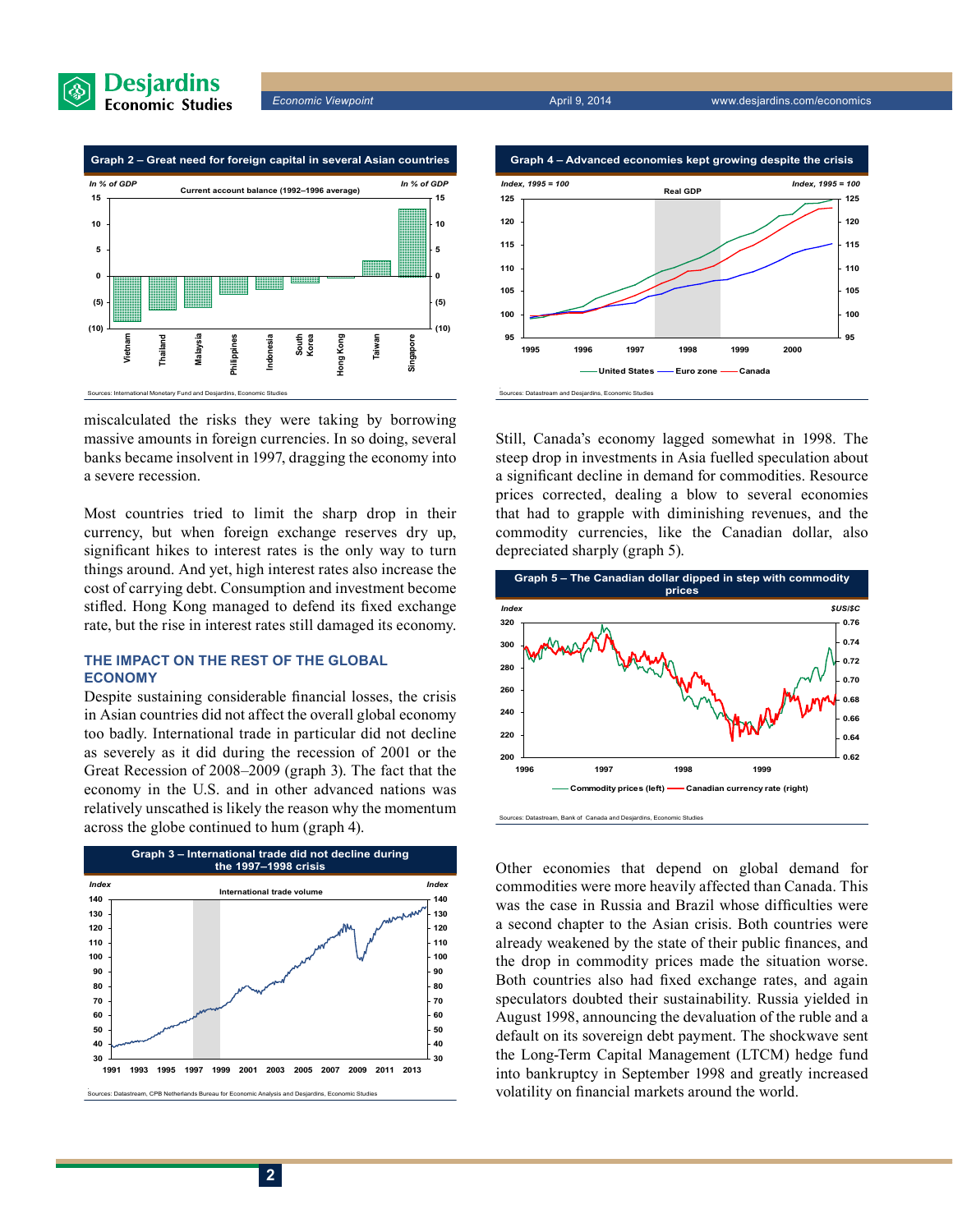



miscalculated the risks they were taking by borrowing massive amounts in foreign currencies. In so doing, several banks became insolvent in 1997, dragging the economy into a severe recession.

Most countries tried to limit the sharp drop in their currency, but when foreign exchange reserves dry up, significant hikes to interest rates is the only way to turn things around. And yet, high interest rates also increase the cost of carrying debt. Consumption and investment become stifled. Hong Kong managed to defend its fixed exchange rate, but the rise in interest rates still damaged its economy.

## **The impact on the rest of the global economy**

Despite sustaining considerable financial losses, the crisis in Asian countries did not affect the overall global economy too badly. International trade in particular did not decline as severely as it did during the recession of 2001 or the Great Recession of 2008–2009 (graph 3). The fact that the economy in the U.S. and in other advanced nations was relatively unscathed is likely the reason why the momentum across the globe continued to hum (graph 4).





Still, Canada's economy lagged somewhat in 1998. The steep drop in investments in Asia fuelled speculation about a significant decline in demand for commodities. Resource prices corrected, dealing a blow to several economies that had to grapple with diminishing revenues, and the commodity currencies, like the Canadian dollar, also depreciated sharply (graph 5).



Other economies that depend on global demand for commodities were more heavily affected than Canada. This was the case in Russia and Brazil whose difficulties were a second chapter to the Asian crisis. Both countries were already weakened by the state of their public finances, and the drop in commodity prices made the situation worse. Both countries also had fixed exchange rates, and again speculators doubted their sustainability. Russia yielded in August 1998, announcing the devaluation of the ruble and a default on its sovereign debt payment. The shockwave sent the Long-Term Capital Management (LTCM) hedge fund into bankruptcy in September 1998 and greatly increased volatility on financial markets around the world. .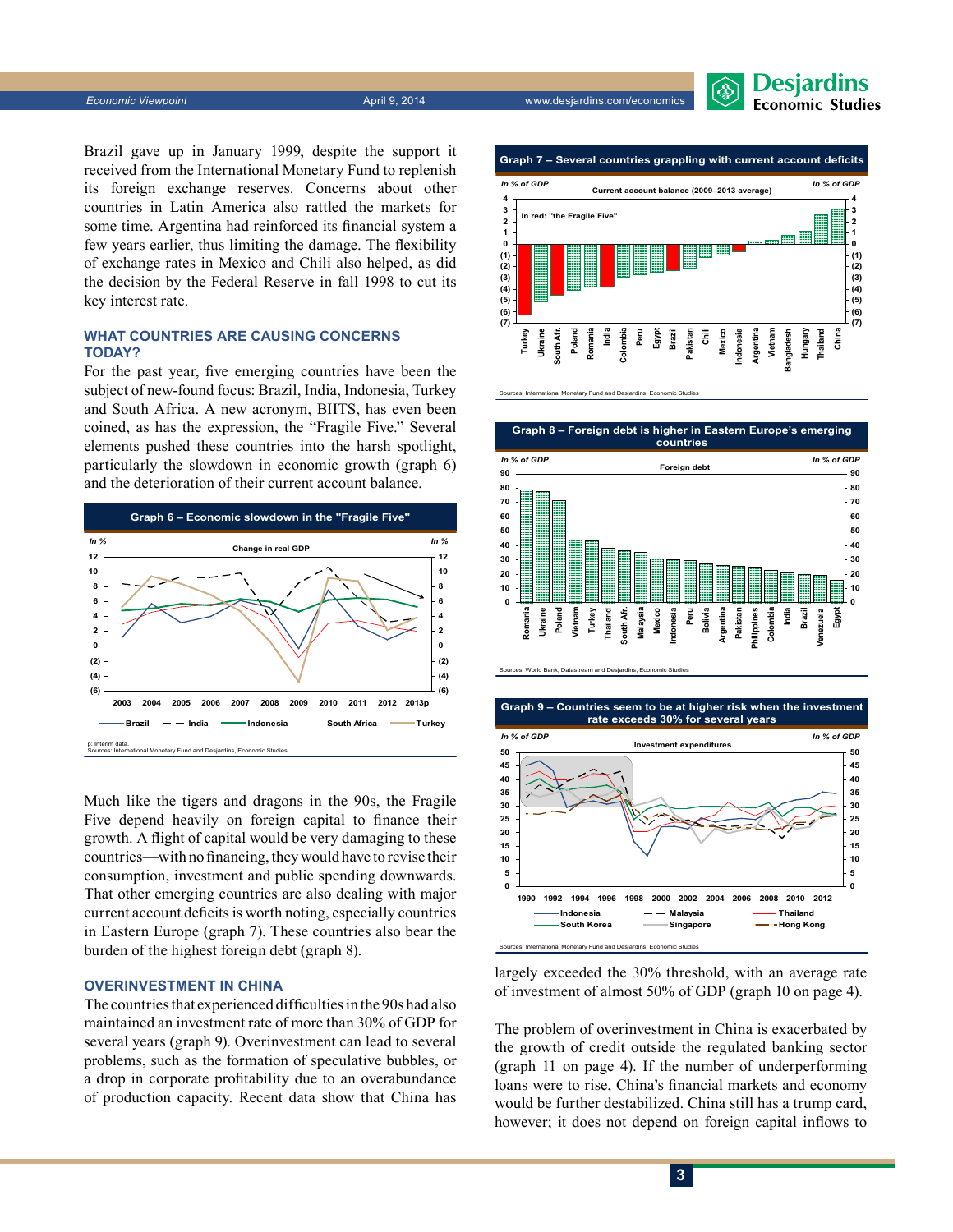*Economic Viewpoint* April 9, 2014 www.desjardins.com/economics



Brazil gave up in January 1999, despite the support it received from the International Monetary Fund to replenish its foreign exchange reserves. Concerns about other countries in Latin America also rattled the markets for some time. Argentina had reinforced its financial system a few years earlier, thus limiting the damage. The flexibility of exchange rates in Mexico and Chili also helped, as did the decision by the Federal Reserve in fall 1998 to cut its key interest rate.

# **What countries are causing concerns today?**

For the past year, five emerging countries have been the subject of new-found focus: Brazil, India, Indonesia, Turkey and South Africa. A new acronym, BIITS, has even been coined, as has the expression, the "Fragile Five." Several elements pushed these countries into the harsh spotlight, particularly the slowdown in economic growth (graph 6) and the deterioration of their current account balance.



Much like the tigers and dragons in the 90s, the Fragile Five depend heavily on foreign capital to finance their growth. A flight of capital would be very damaging to these countries—with no financing, they would have to revise their consumption, investment and public spending downwards. That other emerging countries are also dealing with major current account deficits is worth noting, especially countries in Eastern Europe (graph 7). These countries also bear the burden of the highest foreign debt (graph 8).

## **Overinvestment in China**

The countries that experienced difficulties in the 90s had also maintained an investment rate of more than 30% of GDP for several years (graph 9). Overinvestment can lead to several problems, such as the formation of speculative bubbles, or a drop in corporate profitability due to an overabundance of production capacity. Recent data show that China has







Sources: International Monetary Fund and Desjardins, Economic Studies



largely exceeded the 30% threshold, with an average rate of investment of almost 50% of GDP (graph 10 on page 4).

The problem of overinvestment in China is exacerbated by the growth of credit outside the regulated banking sector (graph 11 on page 4). If the number of underperforming loans were to rise, China's financial markets and economy would be further destabilized. China still has a trump card, however; it does not depend on foreign capital inflows to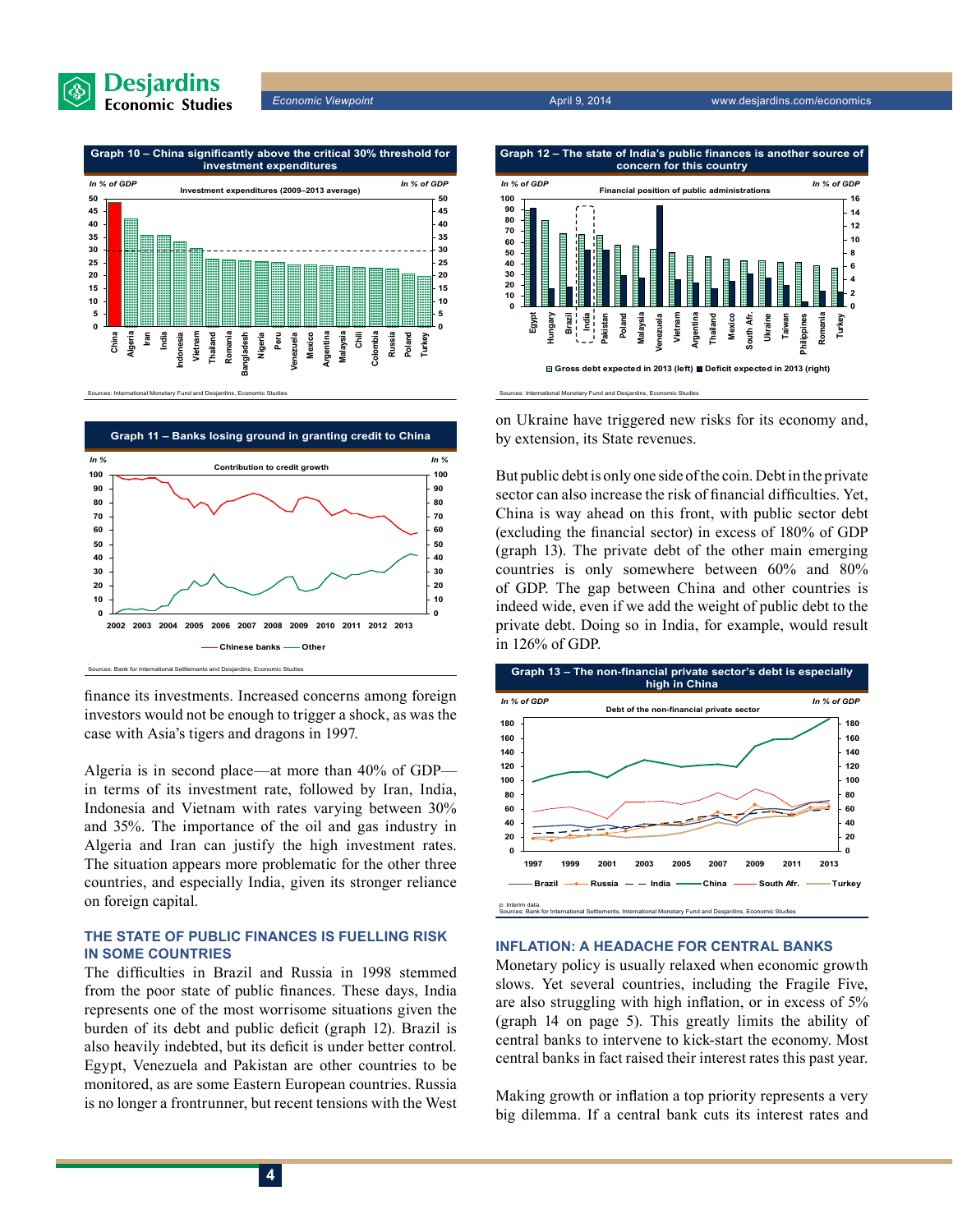

*Economic Viewpoint* April 9, 2014 www.desjardins.com/economics



. Sources: Bank for International Settlements and Desjardins, Economic Studies **Graph 11 – Banks losing ground in granting credit to China 0 10 20 30 40 50 60 70 80 90 100 2002 2003 2004 2005 2006 2007 2008 2009 2010 2011 2012 2013 0 10 20 30 40 50 60 70 80 90 100 Chinese banks —— Other** *In % In %* **Contribution to credit growth**

finance its investments. Increased concerns among foreign investors would not be enough to trigger a shock, as was the case with Asia's tigers and dragons in 1997.

Algeria is in second place—at more than 40% of GDP in terms of its investment rate, followed by Iran, India, Indonesia and Vietnam with rates varying between 30% and 35%. The importance of the oil and gas industry in Algeria and Iran can justify the high investment rates. The situation appears more problematic for the other three countries, and especially India, given its stronger reliance on foreign capital.

# **The state of public finances is fuelling risk in some countries**

The difficulties in Brazil and Russia in 1998 stemmed from the poor state of public finances. These days, India represents one of the most worrisome situations given the burden of its debt and public deficit (graph 12). Brazil is also heavily indebted, but its deficit is under better control. Egypt, Venezuela and Pakistan are other countries to be monitored, as are some Eastern European countries. Russia is no longer a frontrunner, but recent tensions with the West



on Ukraine have triggered new risks for its economy and, by extension, its State revenues.

But public debt is only one side of the coin. Debt in the private sector can also increase the risk of financial difficulties. Yet, China is way ahead on this front, with public sector debt (excluding the financial sector) in excess of 180% of GDP (graph 13). The private debt of the other main emerging countries is only somewhere between 60% and 80% of GDP. The gap between China and other countries is indeed wide, even if we add the weight of public debt to the private debt. Doing so in India, for example, would result in 126% of GDP.



#### **Inflation: a headache for central banks**

Monetary policy is usually relaxed when economic growth slows. Yet several countries, including the Fragile Five, are also struggling with high inflation, or in excess of 5% (graph 14 on page 5). This greatly limits the ability of central banks to intervene to kick-start the economy. Most central banks in fact raised their interest rates this past year.

Making growth or inflation a top priority represents a very big dilemma. If a central bank cuts its interest rates and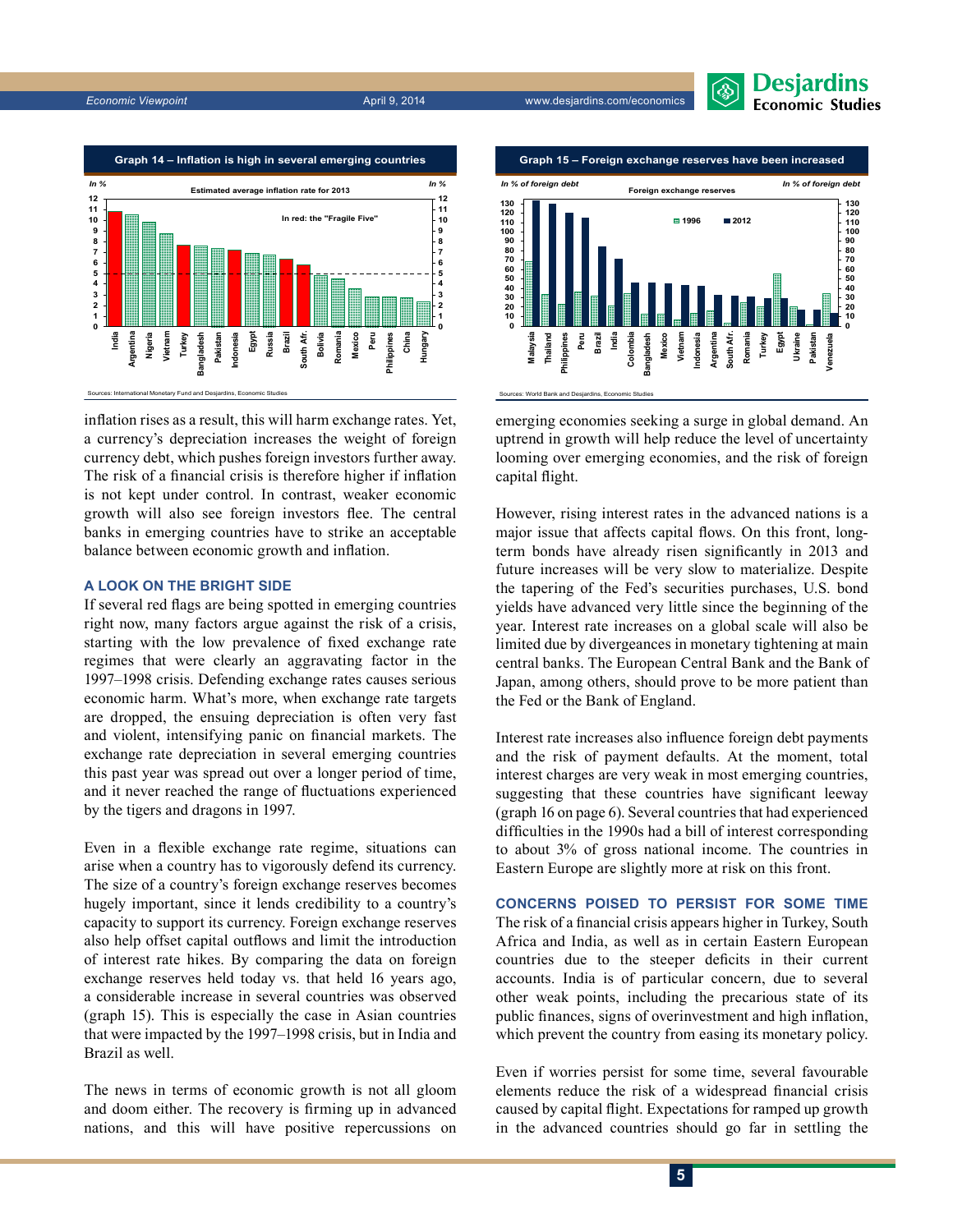





inflation rises as a result, this will harm exchange rates. Yet, a currency's depreciation increases the weight of foreign currency debt, which pushes foreign investors further away. The risk of a financial crisis is therefore higher if inflation is not kept under control. In contrast, weaker economic growth will also see foreign investors flee. The central banks in emerging countries have to strike an acceptable balance between economic growth and inflation.

#### **A look on the bright side**

If several red flags are being spotted in emerging countries right now, many factors argue against the risk of a crisis, starting with the low prevalence of fixed exchange rate regimes that were clearly an aggravating factor in the 1997–1998 crisis. Defending exchange rates causes serious economic harm. What's more, when exchange rate targets are dropped, the ensuing depreciation is often very fast and violent, intensifying panic on financial markets. The exchange rate depreciation in several emerging countries this past year was spread out over a longer period of time, and it never reached the range of fluctuations experienced by the tigers and dragons in 1997.

Even in a flexible exchange rate regime, situations can arise when a country has to vigorously defend its currency. The size of a country's foreign exchange reserves becomes hugely important, since it lends credibility to a country's capacity to support its currency. Foreign exchange reserves also help offset capital outflows and limit the introduction of interest rate hikes. By comparing the data on foreign exchange reserves held today vs. that held 16 years ago, a considerable increase in several countries was observed (graph 15). This is especially the case in Asian countries that were impacted by the 1997–1998 crisis, but in India and Brazil as well.

The news in terms of economic growth is not all gloom and doom either. The recovery is firming up in advanced nations, and this will have positive repercussions on



emerging economies seeking a surge in global demand. An uptrend in growth will help reduce the level of uncertainty looming over emerging economies, and the risk of foreign capital flight.

However, rising interest rates in the advanced nations is a major issue that affects capital flows. On this front, longterm bonds have already risen significantly in 2013 and future increases will be very slow to materialize. Despite the tapering of the Fed's securities purchases, U.S. bond yields have advanced very little since the beginning of the year. Interest rate increases on a global scale will also be limited due by divergeances in monetary tightening at main central banks. The European Central Bank and the Bank of Japan, among others, should prove to be more patient than the Fed or the Bank of England.

Interest rate increases also influence foreign debt payments and the risk of payment defaults. At the moment, total interest charges are very weak in most emerging countries, suggesting that these countries have significant leeway (graph 16 on page 6). Several countries that had experienced difficulties in the 1990s had a bill of interest corresponding to about 3% of gross national income. The countries in Eastern Europe are slightly more at risk on this front.

**Concerns poised to persist for some time** The risk of a financial crisis appears higher in Turkey, South Africa and India, as well as in certain Eastern European countries due to the steeper deficits in their current accounts. India is of particular concern, due to several other weak points, including the precarious state of its public finances, signs of overinvestment and high inflation, which prevent the country from easing its monetary policy.

Even if worries persist for some time, several favourable elements reduce the risk of a widespread financial crisis caused by capital flight. Expectations for ramped up growth in the advanced countries should go far in settling the